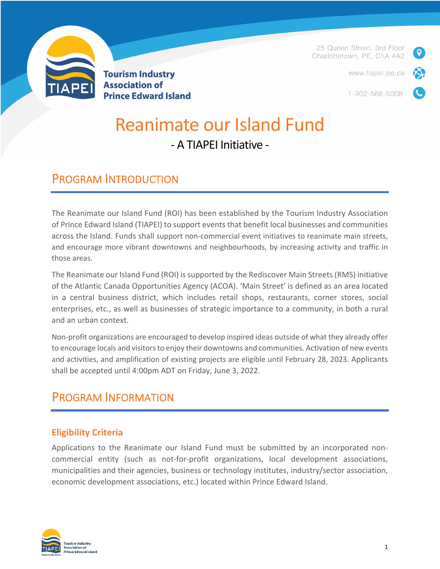

25 Queen Street, 3rd Floor Charlottetown, PE, C1A 4A2

www.tiapei.pe.ca

1-902-566-5008

# Reanimate our Island Fund - A TIAPEI Initiative -

### PROGRAM INTRODUCTION

The Reanimate our Island Fund (ROI) has been established by the Tourism Industry Association of Prince Edward Island (TIAPEI) to support events that benefit local businesses and communities across the Island. Funds shall support non-commercial event initiatives to reanimate main streets, and encourage more vibrant downtowns and neighbourhoods, by increasing activity and traffic in those areas.

The Reanimate our Island Fund (ROI) is supported by the Rediscover Main Streets (RMS) initiative of the Atlantic Canada Opportunities Agency (ACOA). 'Main Street' is defined as an area located in a central business district, which includes retail shops, restaurants, corner stores, social enterprises, etc., as well as businesses of strategic importance to a community, in both a rural and an urban context.

Non-profit organizations are encouraged to develop inspired ideas outside of what they already offer to encourage locals and visitors to enjoy their downtowns and communities. Activation of new events and activities, and amplification of existing projects are eligible until February 28, 2023. Applicants shall be accepted until 4:00pm ADT on Friday, June 3, 2022.

# PROGRAM INFORMATION

### **Eligibility Criteria**

Applications to the Reanimate our Island Fund must be submitted by an incorporated noncommercial entity (such as not-for-profit organizations, local development associations, municipalities and their agencies, business or technology institutes, industry/sector association, economic development associations, etc.) located within Prince Edward Island.

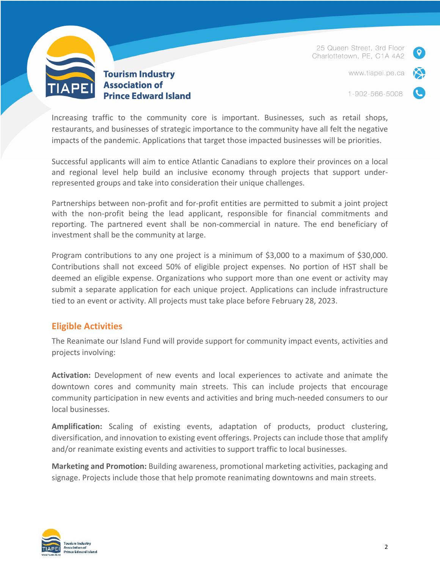

25 Queen Street, 3rd Floor Charlottetown, PE, C1A 4A2

www.tiapei.pe.ca



1-902-566-5008

Increasing traffic to the community core is important. Businesses, such as retail shops, restaurants, and businesses of strategic importance to the community have all felt the negative impacts of the pandemic. Applications that target those impacted businesses will be priorities.

Successful applicants will aim to entice Atlantic Canadians to explore their provinces on a local and regional level help build an inclusive economy through projects that support underrepresented groups and take into consideration their unique challenges.

Partnerships between non-profit and for-profit entities are permitted to submit a joint project with the non-profit being the lead applicant, responsible for financial commitments and reporting. The partnered event shall be non-commercial in nature. The end beneficiary of investment shall be the community at large.

Program contributions to any one project is a minimum of \$3,000 to a maximum of \$30,000. Contributions shall not exceed 50% of eligible project expenses. No portion of HST shall be deemed an eligible expense. Organizations who support more than one event or activity may submit a separate application for each unique project. Applications can include infrastructure tied to an event or activity. All projects must take place before February 28, 2023.

#### **Eligible Activities**

The Reanimate our Island Fund will provide support for community impact events, activities and projects involving:

**Activation:** Development of new events and local experiences to activate and animate the downtown cores and community main streets. This can include projects that encourage community participation in new events and activities and bring much-needed consumers to our local businesses.

**Amplification:** Scaling of existing events, adaptation of products, product clustering, diversification, and innovation to existing event offerings. Projects can include those that amplify and/or reanimate existing events and activities to support traffic to local businesses.

**Marketing and Promotion:** Building awareness, promotional marketing activities, packaging and signage. Projects include those that help promote reanimating downtowns and main streets.

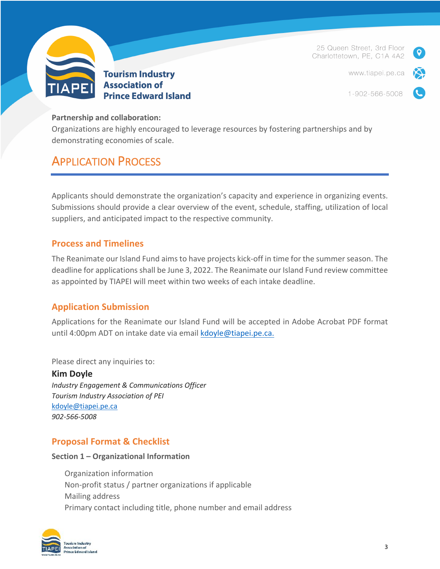

25 Queen Street, 3rd Floor Charlottetown, PE, C1A 4A2

www.tiapei.pe.ca



#### **Partnership and collaboration:**

Organizations are highly encouraged to leverage resources by fostering partnerships and by demonstrating economies of scale.

### APPLICATION PROCESS

Applicants should demonstrate the organization's capacity and experience in organizing events. Submissions should provide a clear overview of the event, schedule, staffing, utilization of local suppliers, and anticipated impact to the respective community.

#### **Process and Timelines**

The Reanimate our Island Fund aims to have projects kick-off in time for the summer season. The deadline for applications shall be June 3, 2022. The Reanimate our Island Fund review committee as appointed by TIAPEI will meet within two weeks of each intake deadline.

### **Application Submission**

Applications for the Reanimate our Island Fund will be accepted in Adobe Acrobat PDF format until 4:00pm ADT on intake date via email kdoyle@tiapei.pe.ca.

Please direct any inquiries to:

#### **Kim Doyle**

*Industry Engagement & Communications Officer Tourism Industry Association of PEI* kdoyle@tiapei.pe.ca *902-566-5008*

### **Proposal Format & Checklist**

#### **Section 1 – Organizational Information**

 Organization information Non-profit status / partner organizations if applicable Mailing address Primary contact including title, phone number and email address

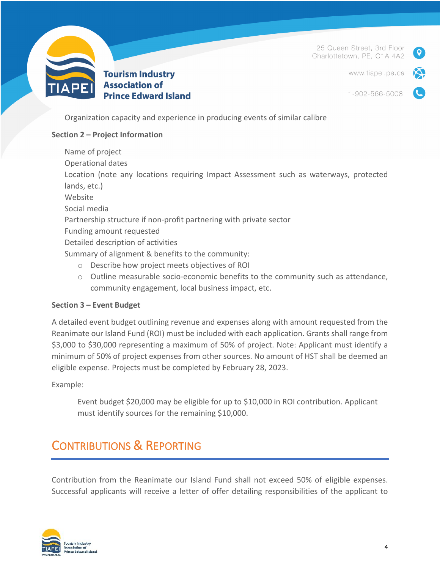

25 Queen Street, 3rd Floor Charlottetown, PE, C1A 4A2

www.tiapei.pe.ca



Organization capacity and experience in producing events of similar calibre

#### **Section 2 – Project Information**

 Name of project Operational dates Location (note any locations requiring Impact Assessment such as waterways, protected lands, etc.) Website Social media Partnership structure if non-profit partnering with private sector Funding amount requested Detailed description of activities Summary of alignment & benefits to the community: o Describe how project meets objectives of ROI

 $\circ$  Outline measurable socio-economic benefits to the community such as attendance, community engagement, local business impact, etc.

#### **Section 3 – Event Budget**

A detailed event budget outlining revenue and expenses along with amount requested from the Reanimate our Island Fund (ROI) must be included with each application. Grants shall range from \$3,000 to \$30,000 representing a maximum of 50% of project. Note: Applicant must identify a minimum of 50% of project expenses from other sources. No amount of HST shall be deemed an eligible expense. Projects must be completed by February 28, 2023.

Example:

Event budget \$20,000 may be eligible for up to \$10,000 in ROI contribution. Applicant must identify sources for the remaining \$10,000.

# CONTRIBUTIONS & REPORTING

Contribution from the Reanimate our Island Fund shall not exceed 50% of eligible expenses. Successful applicants will receive a letter of offer detailing responsibilities of the applicant to